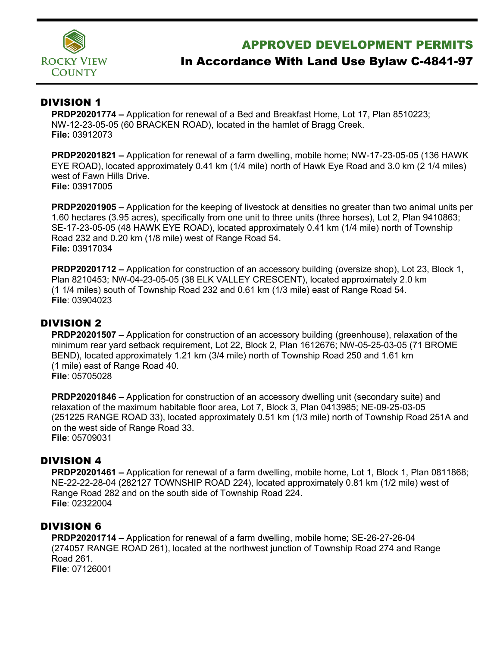

## APPROVED DEVELOPMENT PERMITS

# In Accordance With Land Use Bylaw C-4841-97

#### DIVISION 1

**PRDP20201774 –** Application for renewal of a Bed and Breakfast Home, Lot 17, Plan 8510223; NW-12-23-05-05 (60 BRACKEN ROAD), located in the hamlet of Bragg Creek. **File:** 03912073

**PRDP20201821 –** Application for renewal of a farm dwelling, mobile home; NW-17-23-05-05 (136 HAWK EYE ROAD), located approximately 0.41 km (1/4 mile) north of Hawk Eye Road and 3.0 km (2 1/4 miles) west of Fawn Hills Drive. **File:** 03917005

**PRDP20201905 –** Application for the keeping of livestock at densities no greater than two animal units per 1.60 hectares (3.95 acres), specifically from one unit to three units (three horses), Lot 2, Plan 9410863; SE-17-23-05-05 (48 HAWK EYE ROAD), located approximately 0.41 km (1/4 mile) north of Township Road 232 and 0.20 km (1/8 mile) west of Range Road 54. **File:** 03917034

**PRDP20201712 –** Application for construction of an accessory building (oversize shop), Lot 23, Block 1, Plan 8210453; NW-04-23-05-05 (38 ELK VALLEY CRESCENT), located approximately 2.0 km (1 1/4 miles) south of Township Road 232 and 0.61 km (1/3 mile) east of Range Road 54. **File**: 03904023

#### DIVISION 2

**PRDP20201507 –** Application for construction of an accessory building (greenhouse), relaxation of the minimum rear yard setback requirement, Lot 22, Block 2, Plan 1612676; NW-05-25-03-05 (71 BROME BEND), located approximately 1.21 km (3/4 mile) north of Township Road 250 and 1.61 km (1 mile) east of Range Road 40. **File**: 05705028

**PRDP20201846 –** Application for construction of an accessory dwelling unit (secondary suite) and relaxation of the maximum habitable floor area, Lot 7, Block 3, Plan 0413985; NE-09-25-03-05 (251225 RANGE ROAD 33), located approximately 0.51 km (1/3 mile) north of Township Road 251A and on the west side of Range Road 33. **File**: 05709031

#### DIVISION 4

**PRDP20201461 –** Application for renewal of a farm dwelling, mobile home, Lot 1, Block 1, Plan 0811868; NE-22-22-28-04 (282127 TOWNSHIP ROAD 224), located approximately 0.81 km (1/2 mile) west of Range Road 282 and on the south side of Township Road 224. **File**: 02322004

#### DIVISION 6

**PRDP20201714 –** Application for renewal of a farm dwelling, mobile home; SE-26-27-26-04 (274057 RANGE ROAD 261), located at the northwest junction of Township Road 274 and Range Road 261. **File**: 07126001